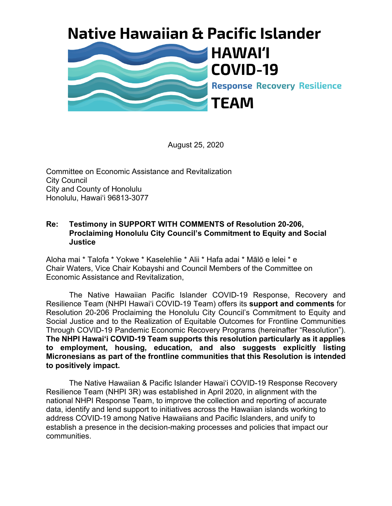## **Native Hawaiian & Pacific Islander**



August 25, 2020

Committee on Economic Assistance and Revitalization City Council City and County of Honolulu Honolulu, Hawaiʻi 96813-3077

## **Re: Testimony in SUPPORT WITH COMMENTS of Resolution 20-206, Proclaiming Honolulu City Council's Commitment to Equity and Social Justice**

Aloha mai \* Talofa \* Yokwe \* Kaselehlie \* Alii \* Hafa adai \* Mālō e lelei \* e Chair Waters, Vice Chair Kobayshi and Council Members of the Committee on Economic Assistance and Revitalization,

The Native Hawaiian Pacific Islander COVID-19 Response, Recovery and Resilience Team (NHPI Hawai'i COVID-19 Team) offers its **support and comments** for Resolution 20-206 Proclaiming the Honolulu City Council's Commitment to Equity and Social Justice and to the Realization of Equitable Outcomes for Frontline Communities Through COVID-19 Pandemic Economic Recovery Programs (hereinafter "Resolution"). **The NHPI Hawai'i COVID-19 Team supports this resolution particularly as it applies to employment, housing, education, and also suggests explicitly listing Micronesians as part of the frontline communities that this Resolution is intended to positively impact.**

The Native Hawaiian & Pacific Islander Hawaiʻi COVID-19 Response Recovery Resilience Team (NHPI 3R) was established in April 2020, in alignment with the national NHPI Response Team, to improve the collection and reporting of accurate data, identify and lend support to initiatives across the Hawaiian islands working to address COVID-19 among Native Hawaiians and Pacific Islanders, and unify to establish a presence in the decision-making processes and policies that impact our communities.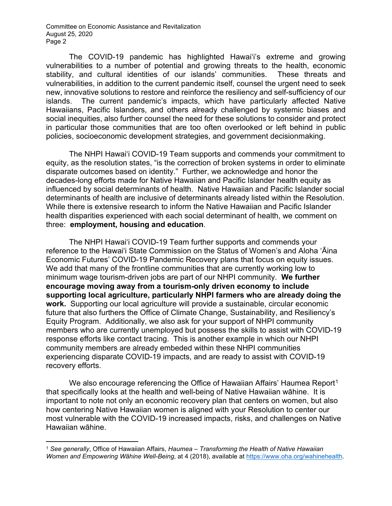Committee on Economic Assistance and Revitalization August 25, 2020 Page 2

The COVID-19 pandemic has highlighted Hawai'i's extreme and growing vulnerabilities to a number of potential and growing threats to the health, economic stability, and cultural identities of our islands' communities. These threats and vulnerabilities, in addition to the current pandemic itself, counsel the urgent need to seek new, innovative solutions to restore and reinforce the resiliency and self-sufficiency of our islands. The current pandemic's impacts, which have particularly affected Native Hawaiians, Pacific Islanders, and others already challenged by systemic biases and social inequities, also further counsel the need for these solutions to consider and protect in particular those communities that are too often overlooked or left behind in public policies, socioeconomic development strategies, and government decisionmaking.

The NHPI Hawaiʻi COVID-19 Team supports and commends your commitment to equity, as the resolution states, "is the correction of broken systems in order to eliminate disparate outcomes based on identity." Further, we acknowledge and honor the decades-long efforts made for Native Hawaiian and Pacific Islander health equity as influenced by social determinants of health. Native Hawaiian and Pacific Islander social determinants of health are inclusive of determinants already listed within the Resolution. While there is extensive research to inform the Native Hawaiian and Pacific Islander health disparities experienced with each social determinant of health, we comment on three: **employment, housing and education**.

The NHPI Hawaiʻi COVID-19 Team further supports and commends your reference to the Hawaiʻi State Commission on the Status of Women's and Aloha ʻĀina Economic Futures' COVID-19 Pandemic Recovery plans that focus on equity issues. We add that many of the frontline communities that are currently working low to minimum wage tourism-driven jobs are part of our NHPI community. **We further encourage moving away from a tourism-only driven economy to include supporting local agriculture, particularly NHPI farmers who are already doing the work.** Supporting our local agriculture will provide a sustainable, circular economic future that also furthers the Office of Climate Change, Sustainability, and Resiliency's Equity Program. Additionally, we also ask for your support of NHPI community members who are currently unemployed but possess the skills to assist with COVID-19 response efforts like contact tracing. This is another example in which our NHPI community members are already embeded within these NHPI communities experiencing disparate COVID-19 impacts, and are ready to assist with COVID-19 recovery efforts.

We also encourage referencing the Office of Hawaiian Affairs' Haumea Report<sup>[1](#page-1-0)</sup> that specifically looks at the health and well-being of Native Hawaiian wāhine. It is important to note not only an economic recovery plan that centers on women, but also how centering Native Hawaiian women is aligned with your Resolution to center our most vulnerable with the COVID-19 increased impacts, risks, and challenges on Native Hawaiian wāhine.

<span id="page-1-0"></span><sup>1</sup> *See generally*, Office of Hawaiian Affairs, *Haumea – Transforming the Health of Native Hawaiian Women and Empowering Wāhine Well-Being*, at 4 (2018), available at [https://www.oha.org/wahineheal](https://www.oha.org/wahinehealth)th.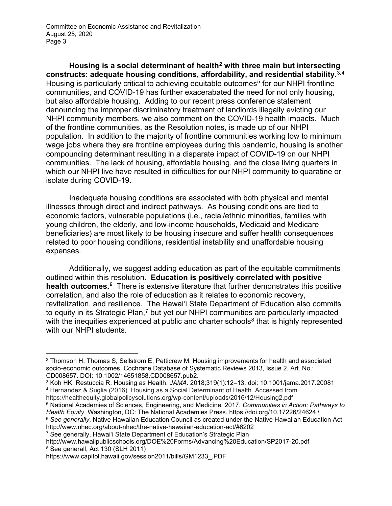Committee on Economic Assistance and Revitalization August 25, 2020 Page 3

**Housing is a social determinant of health[2](#page-2-0) with three main but intersecting constructs: adequate housing conditions, affordability, and residential stability**. [3](#page-2-1),[4](#page-2-2) Housing is particularly critical to achieving equitable outcomes<sup>[5](#page-2-3)</sup> for our NHPI frontline communities, and COVID-19 has further exacerabated the need for not only housing, but also affordable housing. Adding to our recent press conference statement denouncing the improper discriminatory treatment of landlords illegally evicting our NHPI community members, we also comment on the COVID-19 health impacts. Much of the frontline communities, as the Resolution notes, is made up of our NHPI population. In addition to the majority of frontline communities working low to minimum wage jobs where they are frontline employees during this pandemic, housing is another compounding determinant resulting in a disparate impact of COVID-19 on our NHPI communities. The lack of housing, affordable housing, and the close living quarters in which our NHPI live have resulted in difficulties for our NHPI community to quaratine or isolate during COVID-19.

Inadequate housing conditions are associated with both physical and mental illnesses through direct and indirect pathways. As housing conditions are tied to economic factors, vulnerable populations (i.e., racial/ethnic minorities, families with young children, the elderly, and low-income households, Medicaid and Medicare beneficiaries) are most likely to be housing insecure and suffer health consequences related to poor housing conditions, residential instability and unaffordable housing expenses.

Additionally, we suggest adding education as part of the equitable commitments outlined within this resolution. **Education is positively correlated with positive health outcomes.[6](#page-2-4)** There is extensive literature that further demonstrates this positive correlation, and also the role of education as it relates to economic recovery, revitalization, and resilience. The Hawaiʻi State Department of Education also commits to equity in its Strategic Plan,<sup>[7](#page-2-5)</sup> but yet our NHPI communities are particularly impacted with the inequities experienced at public and charter schools<sup>[8](#page-2-6)</sup> that is highly represented with our NHPI students.

https://healthequity.globalpolicysolutions.org/wp-content/uploads/2016/12/Housing2.pdf

<span id="page-2-4"></span>http://www.nhec.org/about-nhec/the-native-hawaiian-education-act/#6202

<span id="page-2-5"></span><sup>7</sup> See generally, Hawaiʻi State Department of Education's Strategic Plan

<span id="page-2-0"></span><sup>2</sup> Thomson H, Thomas S, Sellstrom E, Petticrew M. Housing improvements for health and associated socio-economic outcomes. Cochrane Database of Systematic Reviews 2013, Issue 2. Art. No.: CD008657. DOI: 10.1002/14651858.CD008657.pub2.

<span id="page-2-2"></span><span id="page-2-1"></span><sup>3</sup> Koh HK, Restuccia R. Housing as Health. *JAMA.* 2018;319(1):12–13. doi: 10.1001/jama.2017.20081 <sup>4</sup> Hernandez & Suglia (2016). Housing as a Social Determinant of Health. Accessed from

<span id="page-2-3"></span><sup>5</sup> National Academies of Sciences, Engineering, and Medicine. 2017. *Communities in Action: Pathways to Health Equity*. Washington, DC: The National Academies Press. https://doi.org/10.17226/24624.\ <sup>6</sup> *See generally*, Native Hawaiian Education Council as created under the Native Hawaiian Education Act

<span id="page-2-6"></span>http://www.hawaiipublicschools.org/DOE%20Forms/Advancing%20Education/SP2017-20.pdf <sup>8</sup> See generall, Act 130 (SLH 2011)

https://www.capitol.hawaii.gov/session2011/bills/GM1233\_.PDF